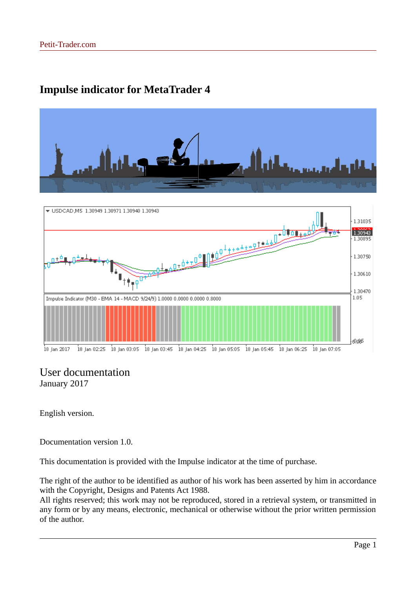## **Impulse indicator for MetaTrader 4**





### User documentation January 2017

English version.

Documentation version 1.0.

This documentation is provided with the Impulse indicator at the time of purchase.

The right of the author to be identified as author of his work has been asserted by him in accordance with the Copyright, Designs and Patents Act 1988.

All rights reserved; this work may not be reproduced, stored in a retrieval system, or transmitted in any form or by any means, electronic, mechanical or otherwise without the prior written permission of the author.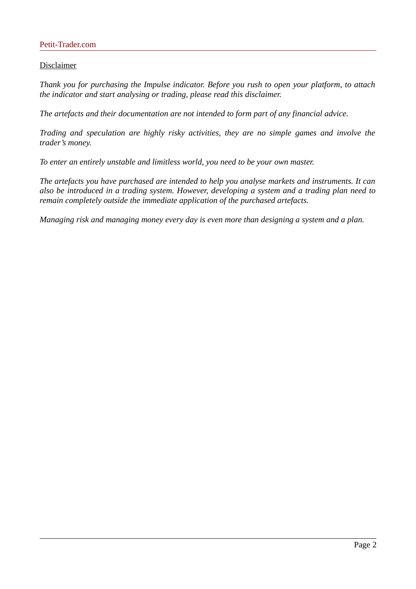#### Petit-Trader.com

#### Disclaimer

*Thank you for purchasing the Impulse indicator. Before you rush to open your platform, to attach the indicator and start analysing or trading, please read this disclaimer.*

*The artefacts and their documentation are not intended to form part of any financial advice.*

*Trading and speculation are highly risky activities, they are no simple games and involve the trader's money.*

*To enter an entirely unstable and limitless world, you need to be your own master.*

*The artefacts you have purchased are intended to help you analyse markets and instruments. It can also be introduced in a trading system. However, developing a system and a trading plan need to remain completely outside the immediate application of the purchased artefacts.*

*Managing risk and managing money every day is even more than designing a system and a plan.*